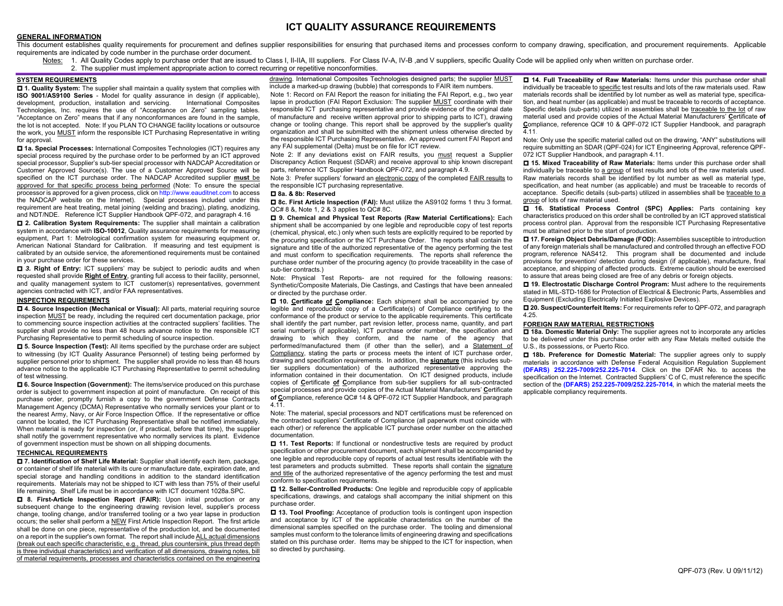# **ICT QUALITY ASSURANCE REQUIREMENTS**

### **GENERAL INFORMATION**

This document establishes quality requirements for procurement and defines supplier responsibilities for ensuring that purchased items and processes conform to company drawing, specification, and procurement requirements. requirements are indicated by code number in the purchase order document.

- Notes: 1. All Quality Codes apply to purchase order that are issued to Class I, II-IIA, III suppliers. For Class IV-A, IV-B ,and V suppliers, specific Quality Code will be applied only when written on purchase order.
	- 2. The supplier must implement appropriate action to correct recurring or repetitive nonconformities.

#### **SYSTEM REQUIREMENTS**

 **1. Quality System:** The supplier shall maintain a quality system that complies with **ISO 9001/AS9100 Series** - Model for quality assurance in design (if applicable), development, production, installation and servicing. International Composites Technologies, Inc. requires the use of "Acceptance on Zero" sampling tables. "Acceptance on Zero" means that if any nonconformances are found in the sample, the lot is not accepted. Note: If you PLAN TO CHANGE facility locations or outsource the work, you MUST inform the responsible ICT Purchasing Representative in writing for approval.

 **1a. Special Processes:** International Composites Technologies (ICT) requires any special process required by the purchase order to be performed by an ICT approved special processor, Supplier's sub-tier special processor with NADCAP Accreditation or Customer Approved Source(s). The use of a Customer Approved Source will be specified on the ICT purchase order. The NADCAP Accredited supplier **must** be approved for that specific process being performed (Note: To ensure the special processor is approved for a given process, click on http://www.eauditnet.com to access the NADCAP website on the Internet). Special processes included under this requirement are heat treating, metal joining (welding and brazing), plating, anodizing, and NDT/NDE. Reference ICT Supplier Handbook QPF-072, and paragraph 4.16

 **2. Calibration System Requirements:** The supplier shall maintain a calibration system in accordance with **ISO-10012**, Quality assurance requirements for measuring equipment, Part 1: Metrological confirmation system for measuring equipment or, American National Standard for Calibration. If measuring and test equipment is calibrated by an outside service, the aforementioned requirements must be contained in your purchase order for these services.

**□ 3. Right of Entry:** ICT suppliers' may be subject to periodic audits and when requested shall provide **Right of Entry**, granting full access to their facility, personnel, and quality management system to ICT customer(s) representatives, government agencies contracted with ICT, and/or FAA representatives.

#### **INSPECTION REQUIREMENTS**

 **4. Source Inspection (Mechanical or Visual):** All parts, material requiring source inspection MUST be ready, including the required cert documentation package, prior to commencing source inspection activities at the contracted suppliers' facilities. The supplier shall provide no less than 48 hours advance notice to the responsible ICT Purchasing Representative to permit scheduling of source inspection.

 $\Box$  5. Source Inspection (Test): All items specified by the purchase order are subject to witnessing (by ICT Quality Assurance Personnel) of testing being performed by supplier personnel prior to shipment. The supplier shall provide no less than 48 hours advance notice to the applicable ICT Purchasing Representative to permit scheduling of test witnessing.

 **6. Source Inspection (Government):** The items/service produced on this purchase order is subject to government inspection at point of manufacture. On receipt of this purchase order, promptly furnish a copy to the government Defense Contracts Management Agency (DCMA) Representative who normally services your plant or to the nearest Army, Navy, or Air Force Inspection Office. If the representative or office cannot be located, the ICT Purchasing Representative shall be notified immediately. When material is ready for inspection (or, if practical, before that time), the supplier shall notify the government representative who normally services its plant. Evidence of government inspection must be shown on all shipping documents.

#### **TECHNICAL REQUIREMENTS**

 **7. Identification of Shelf Life Material:** Supplier shall identify each item, package, or container of shelf life material with its cure or manufacture date, expiration date, and special storage and handling conditions in addition to the standard identification requirements. Materials may not be shipped to ICT with less than 75% of their useful life remaining. Shelf Life must be in accordance with ICT document 1028a.SPC.

 **8. First-Article lnspection Report (FAIR):** Upon initial production or any subsequent change to the engineering drawing revision level, supplier's process change, tooling change, and/or transferred tooling or a two year lapse in production occurs; the seller shall perform a NEW First Article Inspection Report. The first article shall be done on one piece, representative of the production lot, and be documented on a report in the supplier's own format. The report shall include ALL actual dimensions (break out each specific characteristic, e.g., thread, plus countersink, plus thread depth is three individual characteristics) and verification of all dimensions, drawing notes, bill of material requirements, processes and characteristics contained on the engineering

drawing. International Composites Technologies designed parts; the supplier MUST include a marked-up drawing (bubble) that corresponds to FAIR item numbers.

Note 1: Record on FAI Report the reason for initiating the FAI Report, e.g., two year lapse in production (FAI Report Exclusion: The supplier MUST coordinate with their responsible ICT purchasing representative and provide evidence of the original date of manufacture and receive written approval prior to shipping parts to ICT), drawing change or tooling change. This report shall be approved by the supplier's quality organization and shall be submitted with the shipment unless otherwise directed by the responsible ICT Purchasing Representative. An approved current FAI Report and any FAI supplemental (Delta) must be on file for ICT review.

Note 2: If any deviations exist on FAIR results, you must request a Supplier Discrepancy Action Request (SDAR) and receive approval to ship known discrepant parts, reference ICT Supplier Handbook QPF-072, and paragraph 4.9.

Note 3: Prefer suppliers' forward an electronic copy of the completed **FAIR results** to the responsible ICT purchasing representative.

#### **8a. & 8b: Reserved**

 **8c. First Article Inspection (FAI):** Must utilize the AS9102 forms 1 thru 3 format. QC# 8 &, Note 1, 2 & 3 applies to QC# 8C.

 **9. Chemical and Physical Test Reports (Raw Material Certifications):** Each shipment shall be accompanied by one legible and reproducible copy of test reports (chemical, physical, etc.) only when such tests are explicitly required to be reported by the procuring specification or the ICT Purchase Order. The reports shall contain the signature and title of the authorized representative of the agency performing the test and must conform to specification requirements. The reports shall reference the purchase order number of the procuring agency (to provide traceability in the case of sub-tier contracts.)

Note: Physical Test Reports- are not required for the following reasons: Synthetic/Composite Materials, Die Castings, and Castings that have been annealed or directed by the purchase order.

 **10. Certificate of Compliance:** Each shipment shall be accompanied by one legible and reproducible copy of a Certificate(s) of Compliance certifying to the conformance of the product or service to the applicable requirements. This certificate shall identify the part number, part revision letter, process name, quantity, and part serial number(s (if applicable), ICT purchase order number, the specification and drawing to which they conform, and the name of the agency that performed/manufactured them (if other than the seller), and a Statement of Compliancy, stating the parts or process meets the intent of ICT purchase order, drawing and specification requirements. In addition, the **signature** (this includes subtier suppliers documentation) of the authorized representative approving the information contained in their documentation. On ICT designed products, include copies of **C**ertificate **of C**ompliance from sub-tier suppliers for all sub-contracted special processes and provide copies of the Actual Material Manufacturers' **C**ertificate **of C**ompliance, reference QC# 14 & QPF-072 ICT Supplier Handbook, and paragraph 4.11.

Note: The material, special processors and NDT certifications must be referenced on the contracted suppliers' Certificate of Compliance (all paperwork must coincide with each other) or reference the applicable ICT purchase order number on the attached documentation.

 $\Box$  **11. Test Reports:** If functional or nondestructive tests are required by product specification or other procurement document, each shipment shall be accompanied by one legible and reproducible copy of reports of actual test results identifiable with the test parameters and products submitted. These reports shall contain the signature and title of the authorized representative of the agency performing the test and must conform to specification requirements.

 **12. Seller-Controlled Products:** One legible and reproducible copy of applicable specifications, drawings, and catalogs shall accompany the initial shipment on this purchase order.

 **13. Tool Proofing:** Acceptance of production tools is contingent upon inspection and acceptance by ICT of the applicable characteristics on the number of the dimensional samples specified on the purchase order. The tooling and dimensional samples must conform to the tolerance limits of engineering drawing and specifications stated on this purchase order. Items may be shipped to the ICT for inspection, when so directed by purchasing.

 **14. Full Traceability of Raw Materials:** Items under this purchase order shall individually be traceable to specific test results and lots of the raw materials used. Raw materials records shall be identified by lot number as well as material type, specification, and heat number (as applicable) and must be traceable to records of acceptance. Specific details (sub-parts) utilized in assemblies shall be traceable to the lot of raw material used and provide copies of the Actual Material Manufacturers' **C**ertificate **of C**ompliance, reference QC# 10 & QPF-072 ICT Supplier Handbook, and paragraph  $\overline{4}$  11

Note: Only use the specific material called out on the drawing, "ANY" substitutions will require submitting an SDAR (QPF-024) for ICT Engineering Approval, reference QPF-072 ICT Supplier Handbook, and paragraph 4.11.

 **15. Mixed Traceability of Raw Materials:** Items under this purchase order shall individually be traceable to a group of test results and lots of the raw materials used. Raw materials records shall be identified by lot number as well as material type, specification, and heat number (as applicable) and must be traceable to records of acceptance. Specific details (sub-parts) utilized in assemblies shall be traceable to a group of lots of raw material used.

 **16. Statistical Process Control (SPC) Applies:** Parts containing key characteristics produced on this order shall be controlled by an ICT approved statistical process control plan. Approval from the responsible ICT Purchasing Representative must be attained prior to the start of production.

 **17. Foreign Object Debris/Damage (FOD):** Assemblies susceptible to introduction of any foreign materials shall be manufactured and controlled through an effective FOD program, reference NAS412. This program shall be documented and include provisions for prevention/ detection during design (if applicable), manufacture, final acceptance, and shipping of affected products. Extreme caution should be exercised to assure that areas being closed are free of any debris or foreign objects.

 **19. Electrostatic Discharge Control Program:** Must adhere to the requirements stated in MIL-STD-1686 for Protection of Electrical & Electronic Parts, Assemblies and Equipment (Excluding Electrically Initiated Explosive Devices).

 **20. Suspect/Counterfeit Items:** For requirements refer to QPF-072, and paragraph 4.25.

#### **FOREIGN RAW MATERIAL RESTRICTIONS**

**18a. Domestic Material Only:** The supplier agrees not to incorporate any articles to be delivered under this purchase order with any Raw Metals melted outside the U.S., its possessions, or Puerto Rico.

 $\Box$  **18b. Preference for Domestic Material:** The supplier agrees only to supply materials in accordance with Defense Federal Acquisition Regulation Supplement **(DFARS) 252.225-7009/252.225-7014**. Click on the DFAR No. to access the specification on the Internet. Contracted Suppliers' C of C, must reference the specific section of the **(DFARS) 252.225-7009/252.225-7014***,* in which the material meets the applicable compliancy requirements.